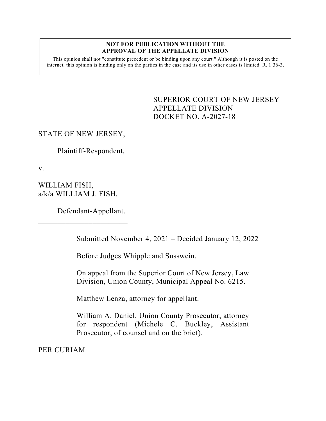#### **NOT FOR PUBLICATION WITHOUT THE APPROVAL OF THE APPELLATE DIVISION**

This opinion shall not "constitute precedent or be binding upon any court." Although it is posted on the internet, this opinion is binding only on the parties in the case and its use in other cases is limited. R. 1:36-3.

> <span id="page-0-0"></span>SUPERIOR COURT OF NEW JERSEY APPELLATE DIVISION DOCKET NO. A-2027-18

## STATE OF NEW JERSEY,

Plaintiff-Respondent,

v.

WILLIAM FISH, a/k/a WILLIAM J. FISH,

 $\overline{\phantom{a}}$  , where  $\overline{\phantom{a}}$  , where  $\overline{\phantom{a}}$  , where  $\overline{\phantom{a}}$ 

Defendant-Appellant.

Submitted November 4, 2021 – Decided January 12, 2022

Before Judges Whipple and Susswein.

On appeal from the Superior Court of New Jersey, Law Division, Union County, Municipal Appeal No. 6215.

Matthew Lenza, attorney for appellant.

William A. Daniel, Union County Prosecutor, attorney for respondent (Michele C. Buckley, Assistant Prosecutor, of counsel and on the brief).

PER CURIAM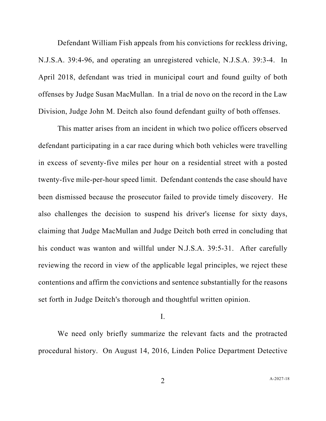Defendant William Fish appeals from his convictions for reckless driving, N.J.S.A. 39:4-96, and operating an unregistered vehicle, N.J.S.A. 39:3-4. In April 2018, defendant was tried in municipal court and found guilty of both offenses by Judge Susan MacMullan. In a trial de novo on the record in the Law Division, Judge John M. Deitch also found defendant guilty of both offenses.

This matter arises from an incident in which two police officers observed defendant participating in a car race during which both vehicles were travelling in excess of seventy-five miles per hour on a residential street with a posted twenty-five mile-per-hour speed limit. Defendant contends the case should have been dismissed because the prosecutor failed to provide timely discovery. He also challenges the decision to suspend his driver's license for sixty days, claiming that Judge MacMullan and Judge Deitch both erred in concluding that his conduct was wanton and willful under N.J.S.A. 39:5-31. After carefully reviewing the record in view of the applicable legal principles, we reject these contentions and affirm the convictions and sentence substantially for the reasons set forth in Judge Deitch's thorough and thoughtful written opinion.

### I.

We need only briefly summarize the relevant facts and the protracted procedural history. On August 14, 2016, Linden Police Department Detective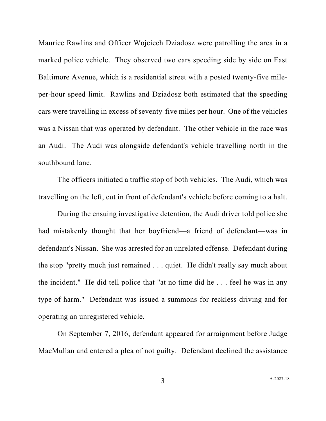Maurice Rawlins and Officer Wojciech Dziadosz were patrolling the area in a marked police vehicle. They observed two cars speeding side by side on East Baltimore Avenue, which is a residential street with a posted twenty-five mileper-hour speed limit. Rawlins and Dziadosz both estimated that the speeding cars were travelling in excess of seventy-five miles per hour. One of the vehicles was a Nissan that was operated by defendant. The other vehicle in the race was an Audi. The Audi was alongside defendant's vehicle travelling north in the southbound lane.

The officers initiated a traffic stop of both vehicles. The Audi, which was travelling on the left, cut in front of defendant's vehicle before coming to a halt.

During the ensuing investigative detention, the Audi driver told police she had mistakenly thought that her boyfriend—a friend of defendant—was in defendant's Nissan. She was arrested for an unrelated offense. Defendant during the stop "pretty much just remained . . . quiet. He didn't really say much about the incident." He did tell police that "at no time did he . . . feel he was in any type of harm." Defendant was issued a summons for reckless driving and for operating an unregistered vehicle.

On September 7, 2016, defendant appeared for arraignment before Judge MacMullan and entered a plea of not guilty. Defendant declined the assistance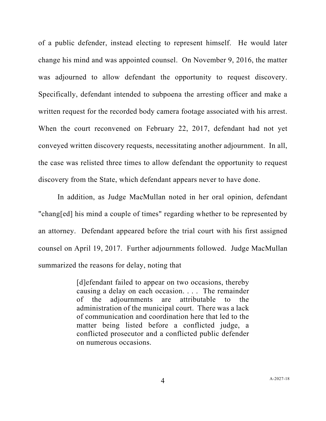of a public defender, instead electing to represent himself. He would later change his mind and was appointed counsel. On November 9, 2016, the matter was adjourned to allow defendant the opportunity to request discovery. Specifically, defendant intended to subpoena the arresting officer and make a written request for the recorded body camera footage associated with his arrest. When the court reconvened on February 22, 2017, defendant had not yet conveyed written discovery requests, necessitating another adjournment. In all, the case was relisted three times to allow defendant the opportunity to request discovery from the State, which defendant appears never to have done.

In addition, as Judge MacMullan noted in her oral opinion, defendant "chang[ed] his mind a couple of times" regarding whether to be represented by an attorney. Defendant appeared before the trial court with his first assigned counsel on April 19, 2017. Further adjournments followed. Judge MacMullan summarized the reasons for delay, noting that

> [d]efendant failed to appear on two occasions, thereby causing a delay on each occasion. . . . The remainder of the adjournments are attributable to the administration of the municipal court. There was a lack of communication and coordination here that led to the matter being listed before a conflicted judge, a conflicted prosecutor and a conflicted public defender on numerous occasions.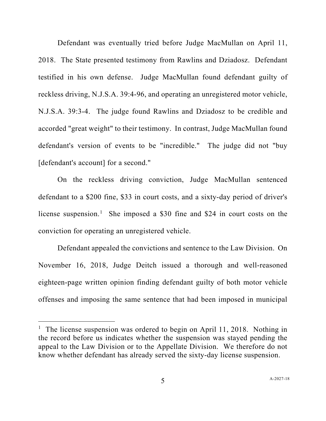Defendant was eventually tried before Judge MacMullan on April 11, 2018. The State presented testimony from Rawlins and Dziadosz. Defendant testified in his own defense. Judge MacMullan found defendant guilty of reckless driving, N.J.S.A. 39:4-96, and operating an unregistered motor vehicle, N.J.S.A. 39:3-4. The judge found Rawlins and Dziadosz to be credible and accorded "great weight" to their testimony. In contrast, Judge MacMullan found defendant's version of events to be "incredible." The judge did not "buy [defendant's account] for a second."

On the reckless driving conviction, Judge MacMullan sentenced defendant to a \$200 fine, \$33 in court costs, and a sixty-day period of driver's license suspension.<sup>[1](#page-4-0)</sup> She imposed a \$30 fine and \$24 in court costs on the conviction for operating an unregistered vehicle.

Defendant appealed the convictions and sentence to the Law Division. On November 16, 2018, Judge Deitch issued a thorough and well-reasoned eighteen-page written opinion finding defendant guilty of both motor vehicle offenses and imposing the same sentence that had been imposed in municipal

<span id="page-4-0"></span><sup>&</sup>lt;sup>1</sup> The license suspension was ordered to begin on April 11, 2018. Nothing in the record before us indicates whether the suspension was stayed pending the appeal to the Law Division or to the Appellate Division. We therefore do not know whether defendant has already served the sixty-day license suspension.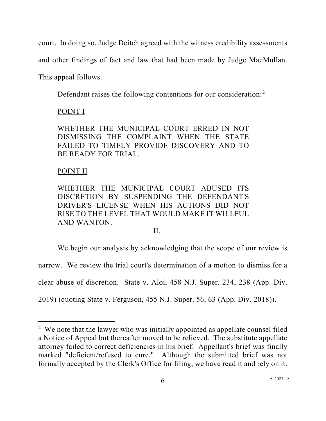court. In doing so, Judge Deitch agreed with the witness credibility assessments

and other findings of fact and law that had been made by Judge MacMullan.

This appeal follows.

Defendant raises the following contentions for our consideration:<sup>[2](#page-5-0)</sup>

# POINT I

WHETHER THE MUNICIPAL COURT ERRED IN NOT DISMISSING THE COMPLAINT WHEN THE STATE FAILED TO TIMELY PROVIDE DISCOVERY AND TO BE READY FOR TRIAL.

# POINT II

WHETHER THE MUNICIPAL COURT ABUSED ITS DISCRETION BY SUSPENDING THE DEFENDANT'S DRIVER'S LICENSE WHEN HIS ACTIONS DID NOT RISE TO THE LEVEL THAT WOULD MAKE IT WILLFUL AND WANTON.

### II.

We begin our analysis by acknowledging that the scope of our review is

narrow. We review the trial court's determination of a motion to dismiss for a

clear abuse of discretion. State v. Aloi, 458 N.J. Super. 234, 238 (App. Div.

2019) (quoting State v. Ferguson, 455 N.J. Super. 56, 63 (App. Div. 2018)).

<span id="page-5-0"></span> $2$  We note that the lawyer who was initially appointed as appellate counsel filed a Notice of Appeal but thereafter moved to be relieved. The substitute appellate attorney failed to correct deficiencies in his brief. Appellant's brief was finally marked "deficient/refused to cure." Although the submitted brief was not formally accepted by the Clerk's Office for filing, we have read it and rely on it.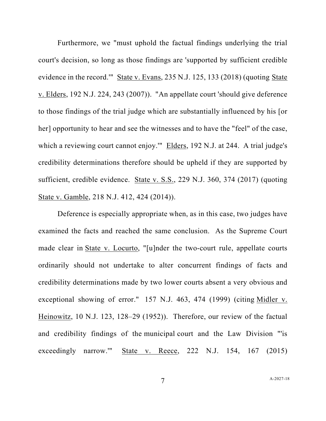Furthermore, we "must uphold the factual findings underlying the trial court's decision, so long as those findings are 'supported by sufficient credible evidence in the record.'" State v. Evans, 235 N.J. 125, 133 (2018) (quoting State v. Elders, 192 N.J. 224, 243 (2007)). "An appellate court 'should give deference to those findings of the trial judge which are substantially influenced by his [or her] opportunity to hear and see the witnesses and to have the "feel" of the case, which a reviewing court cannot enjoy." Elders, 192 N.J. at 244. A trial judge's credibility determinations therefore should be upheld if they are supported by sufficient, credible evidence. State v. S.S., 229 N.J. 360, 374 (2017) (quoting State v. Gamble, 218 N.J. 412, 424 (2014)).

Deference is especially appropriate when, as in this case, two judges have examined the facts and reached the same conclusion. As the Supreme Court made clear in State v. Locurto, "[u]nder the two-court rule, appellate courts ordinarily should not undertake to alter concurrent findings of facts and credibility determinations made by two lower courts absent a very obvious and exceptional showing of error." 157 N.J. 463, 474 (1999) (citing Midler v. Heinowitz, 10 N.J. 123, 128–29 (1952)). Therefore, our review of the factual and credibility findings of the municipal court and the Law Division "'is exceedingly narrow.'" State v. Reece, 222 N.J. 154, 167 (2015)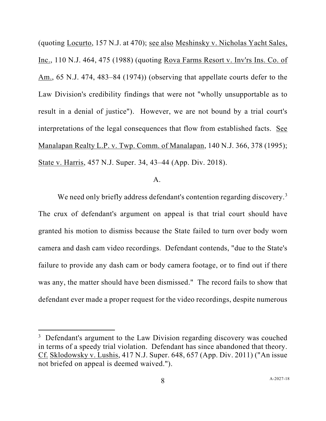(quoting Locurto, 157 N.J. at 470); see also Meshinsky v. Nicholas Yacht Sales, Inc., 110 N.J. 464, 475 (1988) (quoting Rova Farms Resort v. Inv'rs Ins. Co. of Am., 65 N.J. 474, 483–84 (1974)) (observing that appellate courts defer to the Law Division's credibility findings that were not "wholly unsupportable as to result in a denial of justice"). However, we are not bound by a trial court's interpretations of the legal consequences that flow from established facts. See Manalapan Realty L.P. v. Twp. Comm. of Manalapan, 140 N.J. 366, 378 (1995); State v. Harris, 457 N.J. Super. 34, 43–44 (App. Div. 2018).

### A.

We need only briefly address defendant's contention regarding discovery.<sup>[3](#page-7-0)</sup> The crux of defendant's argument on appeal is that trial court should have granted his motion to dismiss because the State failed to turn over body worn camera and dash cam video recordings. Defendant contends, "due to the State's failure to provide any dash cam or body camera footage, or to find out if there was any, the matter should have been dismissed." The record fails to show that defendant ever made a proper request for the video recordings, despite numerous

<span id="page-7-0"></span> $3$  Defendant's argument to the Law Division regarding discovery was couched in terms of a speedy trial violation. Defendant has since abandoned that theory. Cf. Sklodowsky v. Lushis, 417 N.J. Super. 648, 657 (App. Div. 2011) ("An issue not briefed on appeal is deemed waived.").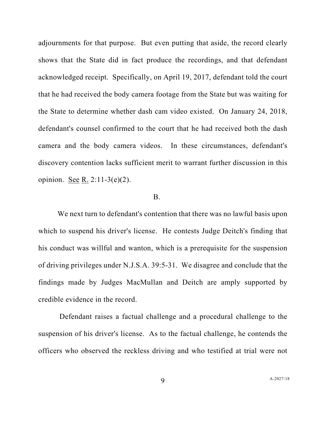adjournments for that purpose. But even putting that aside, the record clearly shows that the State did in fact produce the recordings, and that defendant acknowledged receipt. Specifically, on April 19, 2017, defendant told the court that he had received the body camera footage from the State but was waiting for the State to determine whether dash cam video existed. On January 24, 2018, defendant's counsel confirmed to the court that he had received both the dash camera and the body camera videos. In these circumstances, defendant's discovery contention lacks sufficient merit to warrant further discussion in this opinion. See R. 2:11-3(e)(2).

### B.

We next turn to defendant's contention that there was no lawful basis upon which to suspend his driver's license. He contests Judge Deitch's finding that his conduct was willful and wanton, which is a prerequisite for the suspension of driving privileges under N.J.S.A. 39:5-31. We disagree and conclude that the findings made by Judges MacMullan and Deitch are amply supported by credible evidence in the record.

Defendant raises a factual challenge and a procedural challenge to the suspension of his driver's license. As to the factual challenge, he contends the officers who observed the reckless driving and who testified at trial were not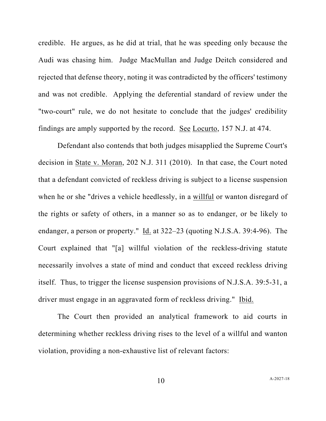credible. He argues, as he did at trial, that he was speeding only because the Audi was chasing him. Judge MacMullan and Judge Deitch considered and rejected that defense theory, noting it was contradicted by the officers' testimony and was not credible. Applying the deferential standard of review under the "two-court" rule, we do not hesitate to conclude that the judges' credibility findings are amply supported by the record. See Locurto, 157 N.J. at 474.

Defendant also contends that both judges misapplied the Supreme Court's decision in State v. Moran, 202 N.J. 311 (2010). In that case, the Court noted that a defendant convicted of reckless driving is subject to a license suspension when he or she "drives a vehicle heedlessly, in a willful or wanton disregard of the rights or safety of others, in a manner so as to endanger, or be likely to endanger, a person or property."  $\underline{Id}$  at 322–23 (quoting N.J.S.A. 39:4-96). The Court explained that "[a] willful violation of the reckless-driving statute necessarily involves a state of mind and conduct that exceed reckless driving itself. Thus, to trigger the license suspension provisions of N.J.S.A. 39:5-31, a driver must engage in an aggravated form of reckless driving." Ibid.

The Court then provided an analytical framework to aid courts in determining whether reckless driving rises to the level of a willful and wanton violation, providing a non-exhaustive list of relevant factors: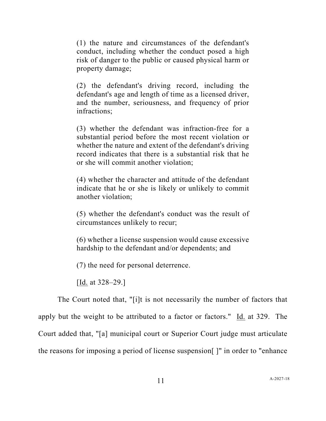(1) the nature and circumstances of the defendant's conduct, including whether the conduct posed a high risk of danger to the public or caused physical harm or property damage;

(2) the defendant's driving record, including the defendant's age and length of time as a licensed driver, and the number, seriousness, and frequency of prior infractions;

(3) whether the defendant was infraction-free for a substantial period before the most recent violation or whether the nature and extent of the defendant's driving record indicates that there is a substantial risk that he or she will commit another violation;

(4) whether the character and attitude of the defendant indicate that he or she is likely or unlikely to commit another violation;

(5) whether the defendant's conduct was the result of circumstances unlikely to recur;

(6) whether a license suspension would cause excessive hardship to the defendant and/or dependents; and

(7) the need for personal deterrence.

[Id. at 328–29.]

The Court noted that, "[i]t is not necessarily the number of factors that apply but the weight to be attributed to a factor or factors." Id. at 329. The Court added that, "[a] municipal court or Superior Court judge must articulate the reasons for imposing a period of license suspension[ ]" in order to "enhance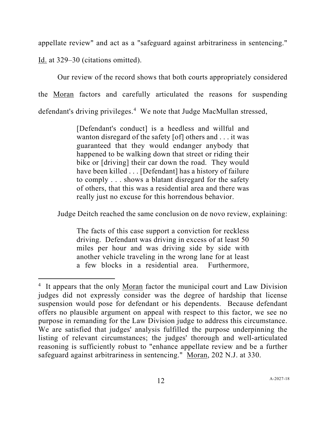appellate review" and act as a "safeguard against arbitrariness in sentencing."

Id. at 329–30 (citations omitted).

Our review of the record shows that both courts appropriately considered the Moran factors and carefully articulated the reasons for suspending defendant's driving privileges.<sup>[4](#page-11-0)</sup> We note that Judge MacMullan stressed,

> [Defendant's conduct] is a heedless and willful and wanton disregard of the safety [of] others and . . . it was guaranteed that they would endanger anybody that happened to be walking down that street or riding their bike or [driving] their car down the road. They would have been killed . . . [Defendant] has a history of failure to comply . . . shows a blatant disregard for the safety of others, that this was a residential area and there was really just no excuse for this horrendous behavior.

Judge Deitch reached the same conclusion on de novo review, explaining:

The facts of this case support a conviction for reckless driving. Defendant was driving in excess of at least 50 miles per hour and was driving side by side with another vehicle traveling in the wrong lane for at least a few blocks in a residential area. Furthermore,

<span id="page-11-0"></span><sup>&</sup>lt;sup>4</sup> It appears that the only Moran factor the municipal court and Law Division judges did not expressly consider was the degree of hardship that license suspension would pose for defendant or his dependents. Because defendant offers no plausible argument on appeal with respect to this factor, we see no purpose in remanding for the Law Division judge to address this circumstance. We are satisfied that judges' analysis fulfilled the purpose underpinning the listing of relevant circumstances; the judges' thorough and well-articulated reasoning is sufficiently robust to "enhance appellate review and be a further safeguard against arbitrariness in sentencing." Moran, 202 N.J. at 330.